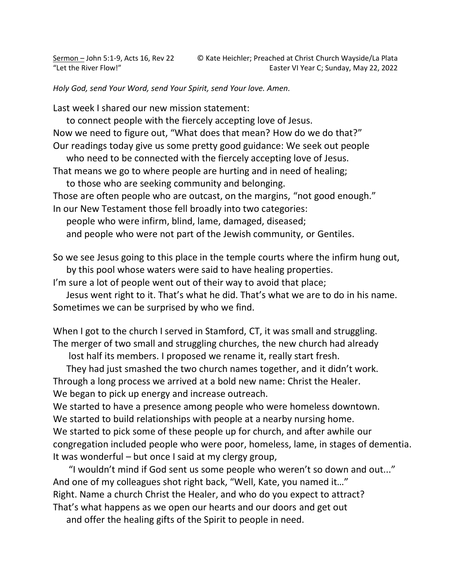*Holy God, send Your Word, send Your Spirit, send Your love. Amen.* 

Last week I shared our new mission statement:

to connect people with the fiercely accepting love of Jesus.

Now we need to figure out, "What does that mean? How do we do that?" Our readings today give us some pretty good guidance: We seek out people

who need to be connected with the fiercely accepting love of Jesus.

That means we go to where people are hurting and in need of healing;

to those who are seeking community and belonging.

Those are often people who are outcast, on the margins, "not good enough."

In our New Testament those fell broadly into two categories:

people who were infirm, blind, lame, damaged, diseased;

and people who were not part of the Jewish community, or Gentiles.

So we see Jesus going to this place in the temple courts where the infirm hung out, by this pool whose waters were said to have healing properties.

I'm sure a lot of people went out of their way to avoid that place;

Jesus went right to it. That's what he did. That's what we are to do in his name. Sometimes we can be surprised by who we find.

When I got to the church I served in Stamford, CT, it was small and struggling. The merger of two small and struggling churches, the new church had already

lost half its members. I proposed we rename it, really start fresh.

They had just smashed the two church names together, and it didn't work. Through a long process we arrived at a bold new name: Christ the Healer. We began to pick up energy and increase outreach.

We started to have a presence among people who were homeless downtown. We started to build relationships with people at a nearby nursing home. We started to pick some of these people up for church, and after awhile our congregation included people who were poor, homeless, lame, in stages of dementia. It was wonderful – but once I said at my clergy group,

"I wouldn't mind if God sent us some people who weren't so down and out..." And one of my colleagues shot right back, "Well, Kate, you named it…" Right. Name a church Christ the Healer, and who do you expect to attract? That's what happens as we open our hearts and our doors and get out

and offer the healing gifts of the Spirit to people in need.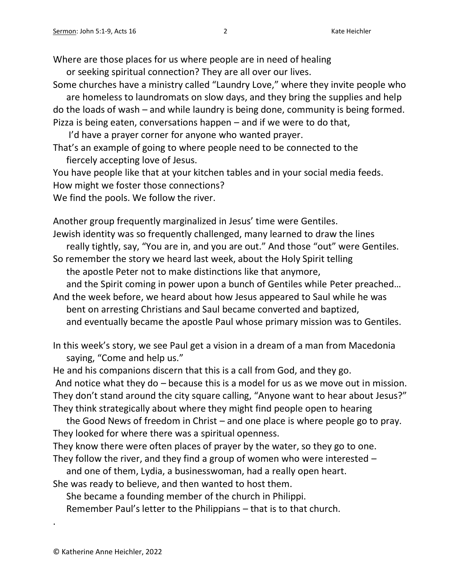Where are those places for us where people are in need of healing

or seeking spiritual connection? They are all over our lives.

Some churches have a ministry called "Laundry Love," where they invite people who are homeless to laundromats on slow days, and they bring the supplies and help

do the loads of wash – and while laundry is being done, community is being formed. Pizza is being eaten, conversations happen – and if we were to do that,

I'd have a prayer corner for anyone who wanted prayer.

That's an example of going to where people need to be connected to the fiercely accepting love of Jesus.

You have people like that at your kitchen tables and in your social media feeds. How might we foster those connections?

We find the pools. We follow the river.

Another group frequently marginalized in Jesus' time were Gentiles. Jewish identity was so frequently challenged, many learned to draw the lines really tightly, say, "You are in, and you are out." And those "out" were Gentiles.

So remember the story we heard last week, about the Holy Spirit telling the apostle Peter not to make distinctions like that anymore,

and the Spirit coming in power upon a bunch of Gentiles while Peter preached…

And the week before, we heard about how Jesus appeared to Saul while he was bent on arresting Christians and Saul became converted and baptized, and eventually became the apostle Paul whose primary mission was to Gentiles.

In this week's story, we see Paul get a vision in a dream of a man from Macedonia saying, "Come and help us."

He and his companions discern that this is a call from God, and they go.

And notice what they do – because this is a model for us as we move out in mission. They don't stand around the city square calling, "Anyone want to hear about Jesus?" They think strategically about where they might find people open to hearing

the Good News of freedom in Christ – and one place is where people go to pray. They looked for where there was a spiritual openness.

They know there were often places of prayer by the water, so they go to one. They follow the river, and they find a group of women who were interested –

and one of them, Lydia, a businesswoman, had a really open heart.

She was ready to believe, and then wanted to host them.

She became a founding member of the church in Philippi.

Remember Paul's letter to the Philippians – that is to that church.

.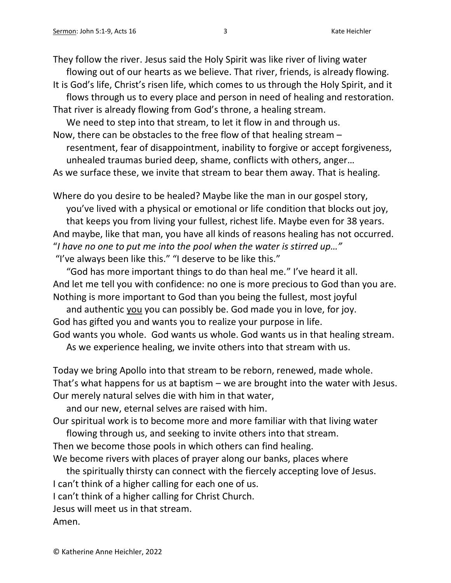They follow the river. Jesus said the Holy Spirit was like river of living water flowing out of our hearts as we believe. That river, friends, is already flowing.

It is God's life, Christ's risen life, which comes to us through the Holy Spirit, and it flows through us to every place and person in need of healing and restoration. That river is already flowing from God's throne, a healing stream.

We need to step into that stream, to let it flow in and through us.

Now, there can be obstacles to the free flow of that healing stream – resentment, fear of disappointment, inability to forgive or accept forgiveness, unhealed traumas buried deep, shame, conflicts with others, anger… As we surface these, we invite that stream to bear them away. That is healing.

Where do you desire to be healed? Maybe like the man in our gospel story, you've lived with a physical or emotional or life condition that blocks out joy, that keeps you from living your fullest, richest life. Maybe even for 38 years. And maybe, like that man, you have all kinds of reasons healing has not occurred. "*I have no one to put me into the pool when the water is stirred up…"* "I've always been like this." "I deserve to be like this."

"God has more important things to do than heal me." I've heard it all. And let me tell you with confidence: no one is more precious to God than you are. Nothing is more important to God than you being the fullest, most joyful

and authentic you you can possibly be. God made you in love, for joy. God has gifted you and wants you to realize your purpose in life. God wants you whole. God wants us whole. God wants us in that healing stream.

As we experience healing, we invite others into that stream with us.

Today we bring Apollo into that stream to be reborn, renewed, made whole. That's what happens for us at baptism – we are brought into the water with Jesus. Our merely natural selves die with him in that water,

and our new, eternal selves are raised with him.

Our spiritual work is to become more and more familiar with that living water

flowing through us, and seeking to invite others into that stream.

Then we become those pools in which others can find healing.

We become rivers with places of prayer along our banks, places where

the spiritually thirsty can connect with the fiercely accepting love of Jesus.

I can't think of a higher calling for each one of us.

I can't think of a higher calling for Christ Church.

Jesus will meet us in that stream.

Amen.